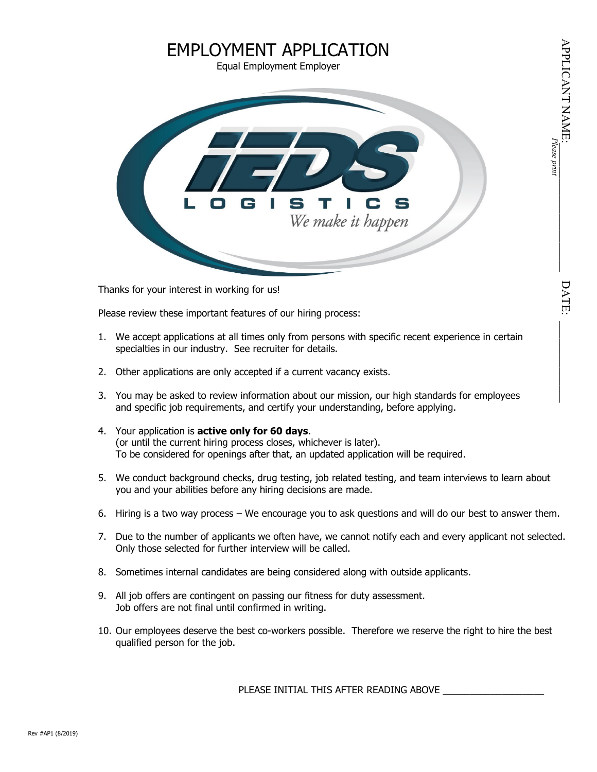# DATE

# EMPLOYMENT APPLICATION Equal Employment Employer



Thanks for your interest in working for us!

Please review these important features of our hiring process:

- 1. We accept applications at all times only from persons with specific recent experience in certain specialties in our industry. See recruiter for details.
- 2. Other applications are only accepted if a current vacancy exists.
- 3. You may be asked to review information about our mission, our high standards for employees and specific job requirements, and certify your understanding, before applying.
- 4. Your application is **active only for 60 days**. (or until the current hiring process closes, whichever is later). To be considered for openings after that, an updated application will be required.
- 5. We conduct background checks, drug testing, job related testing, and team interviews to learn about you and your abilities before any hiring decisions are made.
- 6. Hiring is a two way process We encourage you to ask questions and will do our best to answer them.
- 7. Due to the number of applicants we often have, we cannot notify each and every applicant not selected. Only those selected for further interview will be called.
- 8. Sometimes internal candidates are being considered along with outside applicants.
- 9. All job offers are contingent on passing our fitness for duty assessment. Job offers are not final until confirmed in writing.
- 10. Our employees deserve the best co-workers possible. Therefore we reserve the right to hire the best qualified person for the job.

PLEASE INITIAL THIS AFTER READING ABOVE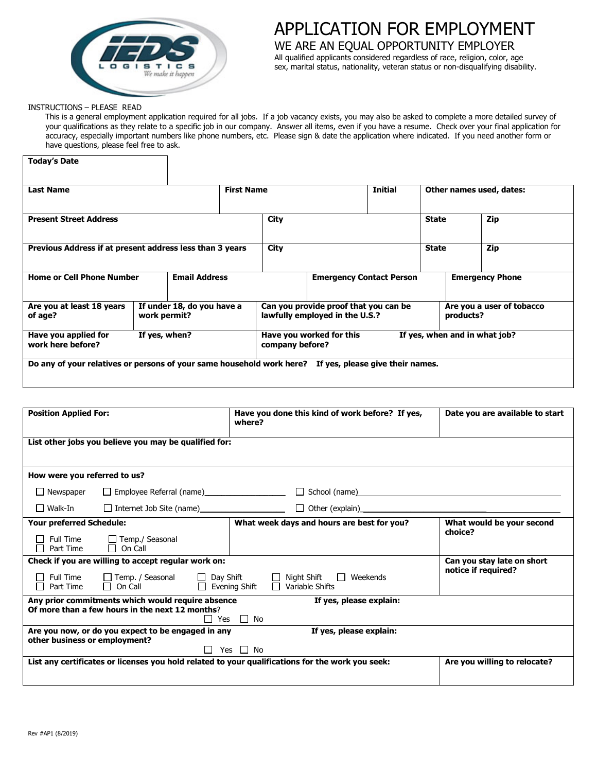

# APPLICATION FOR EMPLOYMENT

WE ARE AN EQUAL OPPORTUNITY EMPLOYER All qualified applicants considered regardless of race, religion, color, age sex, marital status, nationality, veteran status or non-disqualifying disability.

#### INSTRUCTIONS – PLEASE READ

This is a general employment application required for all jobs. If a job vacancy exists, you may also be asked to complete a more detailed survey of your qualifications as they relate to a specific job in our company. Answer all items, even if you have a resume. Check over your final application for accuracy, especially important numbers like phone numbers, etc. Please sign & date the application where indicated. If you need another form or have questions, please feel free to ask.

| <b>Today's Date</b>                                                                                    |               |                            |                                 |                                                                                      |                          |                           |              |  |                               |
|--------------------------------------------------------------------------------------------------------|---------------|----------------------------|---------------------------------|--------------------------------------------------------------------------------------|--------------------------|---------------------------|--------------|--|-------------------------------|
| <b>Last Name</b>                                                                                       |               | <b>First Name</b>          |                                 | Initial                                                                              |                          | Other names used, dates:  |              |  |                               |
| <b>Present Street Address</b>                                                                          |               |                            |                                 | City                                                                                 |                          |                           | <b>State</b> |  | Zip                           |
| Previous Address if at present address less than 3 years                                               |               |                            |                                 | City                                                                                 |                          |                           | <b>State</b> |  | Zip                           |
| <b>Email Address</b><br><b>Home or Cell Phone Number</b>                                               |               |                            | <b>Emergency Contact Person</b> |                                                                                      | <b>Emergency Phone</b>   |                           |              |  |                               |
| Are you at least 18 years<br>of age?                                                                   | work permit?  | If under 18, do you have a |                                 | Can you provide proof that you can be<br>lawfully employed in the U.S.?<br>products? |                          | Are you a user of tobacco |              |  |                               |
| Have you applied for<br>work here before?                                                              | If yes, when? |                            |                                 | company before?                                                                      | Have you worked for this |                           |              |  | If yes, when and in what job? |
| Do any of your relatives or persons of your same household work here? If yes, please give their names. |               |                            |                                 |                                                                                      |                          |                           |              |  |                               |

| <b>Position Applied For:</b>  |                                                                                                      | Have you done this kind of work before? If yes,<br>where?                                                                   | Date you are available to start                   |
|-------------------------------|------------------------------------------------------------------------------------------------------|-----------------------------------------------------------------------------------------------------------------------------|---------------------------------------------------|
|                               | List other jobs you believe you may be qualified for:                                                |                                                                                                                             |                                                   |
| How were you referred to us?  |                                                                                                      |                                                                                                                             |                                                   |
|                               | □ Newspaper □ Employee Referral (name)<br>□ Newspaper □ Employee Referral (name)                     | □ School (name)<br>□ School (name)                                                                                          |                                                   |
|                               |                                                                                                      |                                                                                                                             |                                                   |
| Your preferred Schedule:      |                                                                                                      | What week days and hours are best for you?                                                                                  | What would be your second                         |
|                               | $\Box$ Full Time $\Box$ Temp./ Seasonal $\Box$ Part Time $\Box$ On Call                              |                                                                                                                             | choice?                                           |
|                               | Check if you are willing to accept regular work on:                                                  | □ Full Time □ Temp. / Seasonal □ Day Shift □ Night Shift □ Weekends □ Part Time □ On Call □ Evening Shift □ Variable Shifts | Can you stay late on short<br>notice if required? |
|                               | Any prior commitments which would require absence<br>Of more than a few hours in the next 12 months? | If yes, please explain:<br>$\Box$ Yes $\Box$ No                                                                             |                                                   |
| other business or employment? | Are you now, or do you expect to be engaged in any                                                   | If yes, please explain:<br>$\Box$ Yes $\Box$ No                                                                             |                                                   |
|                               |                                                                                                      | List any certificates or licenses you hold related to your qualifications for the work you seek:                            | Are you willing to relocate?                      |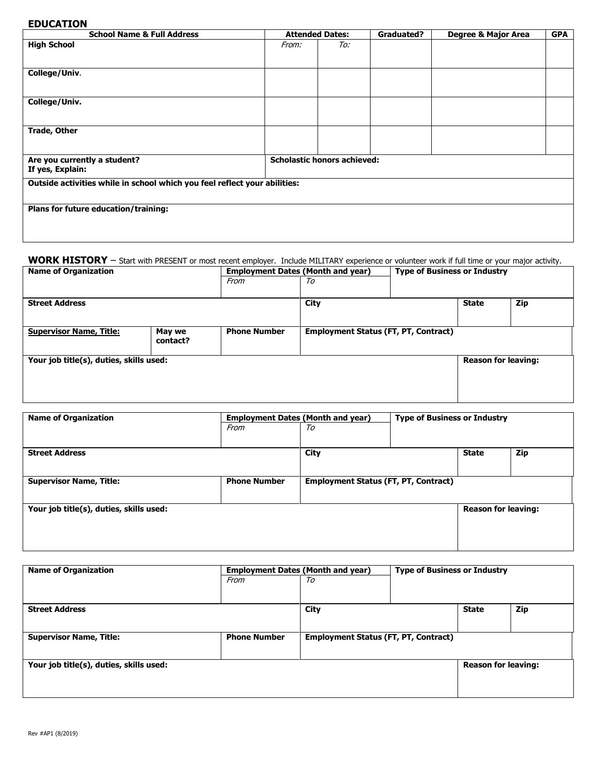## **EDUCATION**

| <b>School Name &amp; Full Address</b>                                     |       | <b>Attended Dates:</b>             | <b>Graduated?</b> | Degree & Major Area | <b>GPA</b> |  |  |  |
|---------------------------------------------------------------------------|-------|------------------------------------|-------------------|---------------------|------------|--|--|--|
| <b>High School</b>                                                        | From: | To:                                |                   |                     |            |  |  |  |
| College/Univ.                                                             |       |                                    |                   |                     |            |  |  |  |
| College/Univ.                                                             |       |                                    |                   |                     |            |  |  |  |
| <b>Trade, Other</b>                                                       |       |                                    |                   |                     |            |  |  |  |
| Are you currently a student?<br>If yes, Explain:                          |       | <b>Scholastic honors achieved:</b> |                   |                     |            |  |  |  |
| Outside activities while in school which you feel reflect your abilities: |       |                                    |                   |                     |            |  |  |  |
| Plans for future education/training:                                      |       |                                    |                   |                     |            |  |  |  |

### **WORK HISTORY** – Start with PRESENT or most recent employer. Include MILITARY experience or volunteer work if full time or your major activity.

| <b>Name of Organization</b>             |                    | <b>Employment Dates (Month and year)</b> |                                             |  | <b>Type of Business or Industry</b> |     |  |
|-----------------------------------------|--------------------|------------------------------------------|---------------------------------------------|--|-------------------------------------|-----|--|
|                                         |                    | From                                     | To                                          |  |                                     |     |  |
|                                         |                    |                                          |                                             |  |                                     |     |  |
| <b>Street Address</b>                   |                    |                                          | City                                        |  | <b>State</b>                        | Zip |  |
|                                         |                    |                                          |                                             |  |                                     |     |  |
| <b>Supervisor Name, Title:</b>          | May we<br>contact? | <b>Phone Number</b>                      | <b>Employment Status (FT, PT, Contract)</b> |  |                                     |     |  |
| Your job title(s), duties, skills used: |                    |                                          |                                             |  | <b>Reason for leaving:</b>          |     |  |
|                                         |                    |                                          |                                             |  |                                     |     |  |

|                     |                                             | <b>Type of Business or Industry</b>      |                            |     |
|---------------------|---------------------------------------------|------------------------------------------|----------------------------|-----|
| From                | To                                          |                                          |                            |     |
|                     |                                             |                                          |                            |     |
|                     | City                                        |                                          | <b>State</b>               | Zip |
|                     |                                             |                                          |                            |     |
| <b>Phone Number</b> | <b>Employment Status (FT, PT, Contract)</b> |                                          |                            |     |
|                     |                                             |                                          |                            |     |
|                     |                                             |                                          | <b>Reason for leaving:</b> |     |
|                     |                                             |                                          |                            |     |
|                     |                                             |                                          |                            |     |
|                     |                                             | <b>Employment Dates (Month and year)</b> |                            |     |

| <b>Name of Organization</b>             | <b>Employment Dates (Month and year)</b> |                                             | <b>Type of Business or Industry</b> |                            |     |
|-----------------------------------------|------------------------------------------|---------------------------------------------|-------------------------------------|----------------------------|-----|
|                                         | From                                     | To                                          |                                     |                            |     |
|                                         |                                          |                                             |                                     |                            |     |
| <b>Street Address</b>                   |                                          | City                                        |                                     | <b>State</b>               | Zip |
|                                         |                                          |                                             |                                     |                            |     |
| <b>Supervisor Name, Title:</b>          | <b>Phone Number</b>                      | <b>Employment Status (FT, PT, Contract)</b> |                                     |                            |     |
|                                         |                                          |                                             |                                     |                            |     |
| Your job title(s), duties, skills used: |                                          |                                             |                                     | <b>Reason for leaving:</b> |     |
|                                         |                                          |                                             |                                     |                            |     |
|                                         |                                          |                                             |                                     |                            |     |